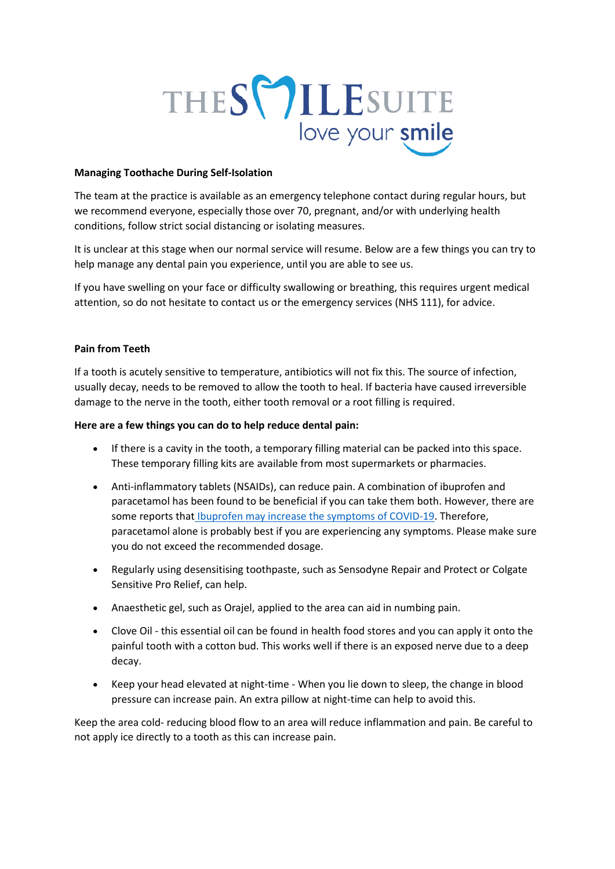

## **Managing Toothache During Self-Isolation**

The team at the practice is available as an emergency telephone contact during regular hours, but we recommend everyone, especially those over 70, pregnant, and/or with underlying health conditions, follow strict social distancing or isolating measures.

It is unclear at this stage when our normal service will resume. Below are a few things you can try to help manage any dental pain you experience, until you are able to see us.

If you have swelling on your face or difficulty swallowing or breathing, this requires urgent medical attention, so do not hesitate to contact us or the emergency services (NHS 111), for advice.

### **Pain from Teeth**

If a tooth is acutely sensitive to temperature, antibiotics will not fix this. The source of infection, usually decay, needs to be removed to allow the tooth to heal. If bacteria have caused irreversible damage to the nerve in the tooth, either tooth removal or a root filling is required.

### **Here are a few things you can do to help reduce dental pain:**

- If there is a cavity in the tooth, a temporary filling material can be packed into this space. These temporary filling kits are available from most supermarkets or pharmacies.
- Anti-inflammatory tablets (NSAIDs), can reduce pain. A combination of ibuprofen and paracetamol has been found to be beneficial if you can take them both. However, there are some reports that [Ibuprofen may increase the symptoms of COVID-19.](https://www.gov.uk/government/news/ibuprofen-use-and-covid19coronavirus) Therefore, paracetamol alone is probably best if you are experiencing any symptoms. Please make sure you do not exceed the recommended dosage.
- Regularly using desensitising toothpaste, such as Sensodyne Repair and Protect or Colgate Sensitive Pro Relief, can help.
- Anaesthetic gel, such as Orajel, applied to the area can aid in numbing pain.
- Clove Oil this essential oil can be found in health food stores and you can apply it onto the painful tooth with a cotton bud. This works well if there is an exposed nerve due to a deep decay.
- Keep your head elevated at night-time When you lie down to sleep, the change in blood pressure can increase pain. An extra pillow at night-time can help to avoid this.

Keep the area cold- reducing blood flow to an area will reduce inflammation and pain. Be careful to not apply ice directly to a tooth as this can increase pain.